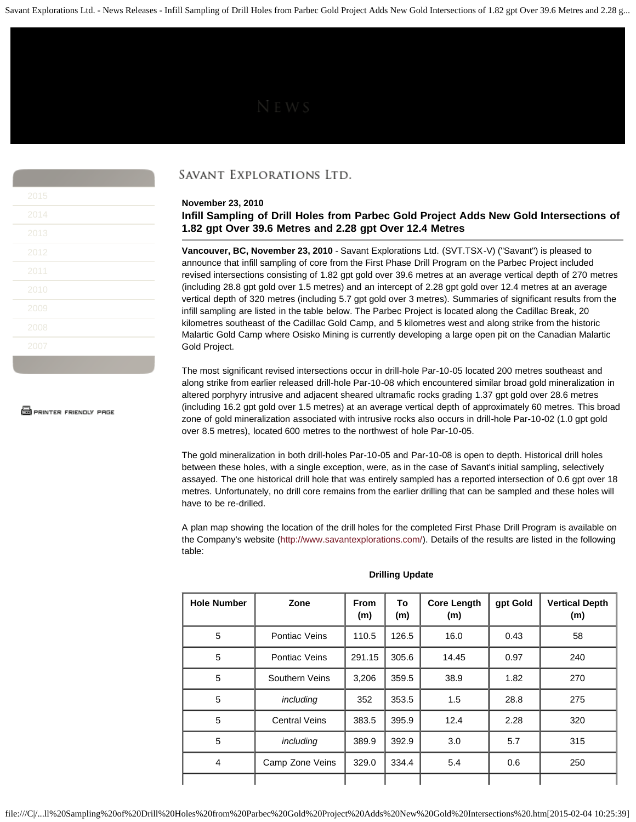Savant Explorations Ltd. - News Releases - Infill Sampling of Drill Holes from Parbec Gold Project Adds New Gold Intersections of 1.82 gpt Over 39.6 Metres and 2.28 g...

| 2015 |  |
|------|--|
| 2014 |  |
| 2013 |  |
| 2012 |  |
| 2011 |  |
| 2010 |  |
| 2009 |  |
| 2008 |  |
| 2007 |  |

**S** PRINTER FRIENDLY PAGE

# SAVANT EXPLORATIONS LTD.

# **November 23, 2010**

**Infill Sampling of Drill Holes from Parbec Gold Project Adds New Gold Intersections of 1.82 gpt Over 39.6 Metres and 2.28 gpt Over 12.4 Metres**

**Vancouver, BC, November 23, 2010** - Savant Explorations Ltd. (SVT.TSX-V) ("Savant") is pleased to announce that infill sampling of core from the First Phase Drill Program on the Parbec Project included revised intersections consisting of 1.82 gpt gold over 39.6 metres at an average vertical depth of 270 metres (including 28.8 gpt gold over 1.5 metres) and an intercept of 2.28 gpt gold over 12.4 metres at an average vertical depth of 320 metres (including 5.7 gpt gold over 3 metres). Summaries of significant results from the infill sampling are listed in the table below. The Parbec Project is located along the Cadillac Break, 20 kilometres southeast of the Cadillac Gold Camp, and 5 kilometres west and along strike from the historic Malartic Gold Camp where Osisko Mining is currently developing a large open pit on the Canadian Malartic Gold Project.

The most significant revised intersections occur in drill-hole Par-10-05 located 200 metres southeast and along strike from earlier released drill-hole Par-10-08 which encountered similar broad gold mineralization in altered porphyry intrusive and adjacent sheared ultramafic rocks grading 1.37 gpt gold over 28.6 metres (including 16.2 gpt gold over 1.5 metres) at an average vertical depth of approximately 60 metres. This broad zone of gold mineralization associated with intrusive rocks also occurs in drill-hole Par-10-02 (1.0 gpt gold over 8.5 metres), located 600 metres to the northwest of hole Par-10-05.

The gold mineralization in both drill-holes Par-10-05 and Par-10-08 is open to depth. Historical drill holes between these holes, with a single exception, were, as in the case of Savant's initial sampling, selectively assayed. The one historical drill hole that was entirely sampled has a reported intersection of 0.6 gpt over 18 metres. Unfortunately, no drill core remains from the earlier drilling that can be sampled and these holes will have to be re-drilled.

A plan map showing the location of the drill holes for the completed First Phase Drill Program is available on the Company's website [\(http://www.savantexplorations.com/\)](http://www.savantexplorations.com/). Details of the results are listed in the following table:

| <b>Hole Number</b> | Zone                 | <b>From</b><br>(m) | To<br>(m) | <b>Core Length</b><br>(m) | gpt Gold | <b>Vertical Depth</b><br>(m) |
|--------------------|----------------------|--------------------|-----------|---------------------------|----------|------------------------------|
| 5                  | Pontiac Veins        | 110.5              | 126.5     | 16.0                      | 0.43     | 58                           |
| 5                  | Pontiac Veins        | 291.15             | 305.6     | 14.45                     | 0.97     | 240                          |
| 5                  | Southern Veins       | 3,206              | 359.5     | 38.9                      | 1.82     | 270                          |
| 5                  | including            | 352                | 353.5     | 1.5                       | 28.8     | 275                          |
| $\overline{5}$     | <b>Central Veins</b> | 383.5              | 395.9     | 12.4                      | 2.28     | 320                          |
| 5                  | including            | 389.9              | 392.9     | 3.0                       | 5.7      | 315                          |
| 4                  | Camp Zone Veins      | 329.0              | 334.4     | 5.4                       | 0.6      | 250                          |
|                    |                      |                    |           |                           |          |                              |

### **Drilling Update**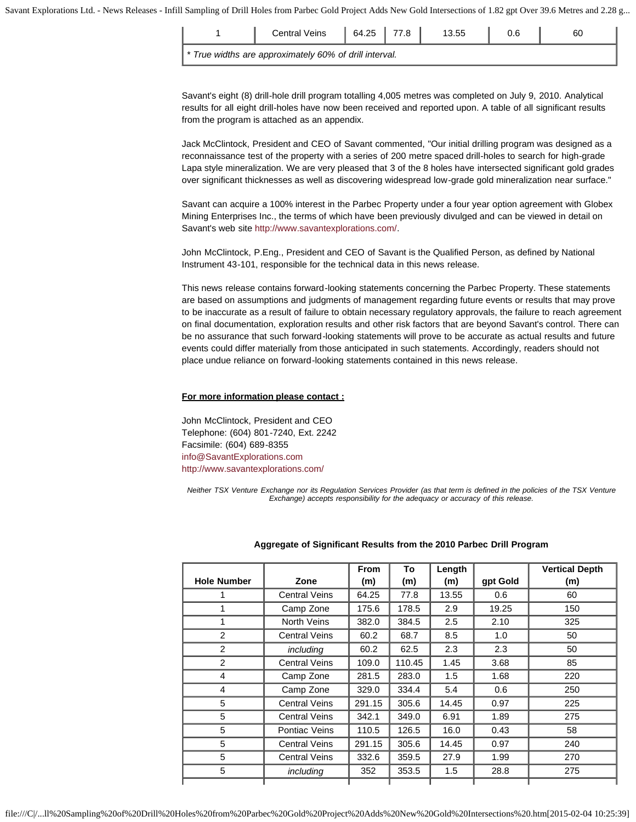Savant Explorations Ltd. - News Releases - Infill Sampling of Drill Holes from Parbec Gold Project Adds New Gold Intersections of 1.82 gpt Over 39.6 Metres and 2.28 g...

|                                                        | <b>Central Veins</b> | 64.25 |  | 13.55 |  | 60 |  |
|--------------------------------------------------------|----------------------|-------|--|-------|--|----|--|
| * True widths are approximately 60% of drill interval. |                      |       |  |       |  |    |  |

Savant's eight (8) drill-hole drill program totalling 4,005 metres was completed on July 9, 2010. Analytical results for all eight drill-holes have now been received and reported upon. A table of all significant results from the program is attached as an appendix.

Jack McClintock, President and CEO of Savant commented, "Our initial drilling program was designed as a reconnaissance test of the property with a series of 200 metre spaced drill-holes to search for high-grade Lapa style mineralization. We are very pleased that 3 of the 8 holes have intersected significant gold grades over significant thicknesses as well as discovering widespread low-grade gold mineralization near surface."

Savant can acquire a 100% interest in the Parbec Property under a four year option agreement with Globex Mining Enterprises Inc., the terms of which have been previously divulged and can be viewed in detail on Savant's web site<http://www.savantexplorations.com/>.

John McClintock, P.Eng., President and CEO of Savant is the Qualified Person, as defined by National Instrument 43-101, responsible for the technical data in this news release.

This news release contains forward-looking statements concerning the Parbec Property. These statements are based on assumptions and judgments of management regarding future events or results that may prove to be inaccurate as a result of failure to obtain necessary regulatory approvals, the failure to reach agreement on final documentation, exploration results and other risk factors that are beyond Savant's control. There can be no assurance that such forward-looking statements will prove to be accurate as actual results and future events could differ materially from those anticipated in such statements. Accordingly, readers should not place undue reliance on forward-looking statements contained in this news release.

# **For more information please contact :**

John McClintock, President and CEO Telephone: (604) 801-7240, Ext. 2242 Facsimile: (604) 689-8355 [info@SavantExplorations.com](mailto:info@SavantExplorations.com) <http://www.savantexplorations.com/>

*Neither TSX Venture Exchange nor its Regulation Services Provider (as that term is defined in the policies of the TSX Venture Exchange) accepts responsibility for the adequacy or accuracy of this release.*

| <b>Hole Number</b> | Zone                 | <b>From</b><br>(m) | To<br>(m) | Length<br>(m) | gpt Gold | <b>Vertical Depth</b><br>(m) |
|--------------------|----------------------|--------------------|-----------|---------------|----------|------------------------------|
|                    | <b>Central Veins</b> | 64.25              | 77.8      | 13.55         | 0.6      | 60                           |
|                    | Camp Zone            | 175.6              | 178.5     | 2.9           | 19.25    | 150                          |
| 1                  | <b>North Veins</b>   | 382.0              | 384.5     | 2.5           | 2.10     | 325                          |
| $\overline{2}$     | <b>Central Veins</b> | 60.2               | 68.7      | 8.5           | 1.0      | 50                           |
| 2                  | including            | 60.2               | 62.5      | 2.3           | 2.3      | 50                           |
| 2                  | <b>Central Veins</b> | 109.0              | 110.45    | 1.45          | 3.68     | 85                           |
| 4                  | Camp Zone            | 281.5              | 283.0     | 1.5           | 1.68     | 220                          |
| 4                  | Camp Zone            | 329.0              | 334.4     | 5.4           | 0.6      | 250                          |
| 5                  | <b>Central Veins</b> | 291.15             | 305.6     | 14.45         | 0.97     | 225                          |
| 5                  | <b>Central Veins</b> | 342.1              | 349.0     | 6.91          | 1.89     | 275                          |
| 5                  | Pontiac Veins        | 110.5              | 126.5     | 16.0          | 0.43     | 58                           |
| 5                  | <b>Central Veins</b> | 291.15             | 305.6     | 14.45         | 0.97     | 240                          |
| 5                  | <b>Central Veins</b> | 332.6              | 359.5     | 27.9          | 1.99     | 270                          |
| 5                  | including            | 352                | 353.5     | 1.5           | 28.8     | 275                          |
|                    |                      |                    |           |               |          |                              |

# **Aggregate of Significant Results from the 2010 Parbec Drill Program**